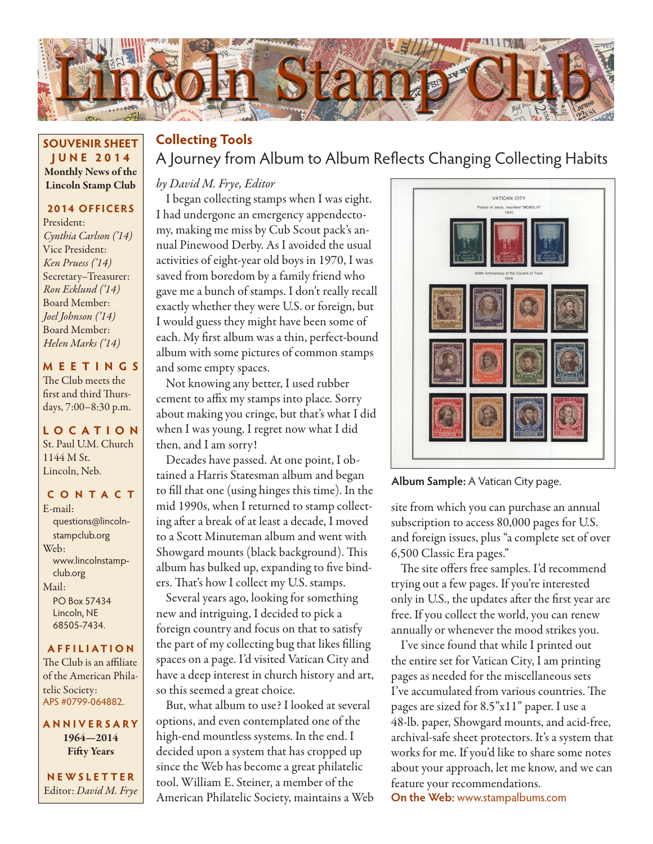

#### **SOUVENIR SHEET JUNE 2014** Monthly News of the Lincoln Stamp Club

#### **2014 OFFICERS**

President: *Cynthia Carlson ('14)* Vice President: *Ken Pruess ('14)* Secretary–Treasurer: *Ron Ecklund ('14)* Board Member: *Joel Johnson ('14)* Board Member: *Helen Marks ('14)*

#### **MEETINGS**

The Club meets the first and third Thursdays, 7:00–8:30 p.m.

#### **LO C ATI O N** St. Paul U.M. Church 1144 M St. Lincoln, Neb.

#### **CONTACT**

E-mail: questions@lincolnstampclub.org Web: www.lincolnstampclub.org Mail: PO Box 57434 Lincoln, NE 68505-7434.

#### **AFFI LIATI O N**

The Club is an affiliate of the American Philatelic Society: APS #0799-064882.

**ANNIVERSARY** 1964—2014 Fifty Years

**NEWSLETTER** Editor: *David M. Frye*

## A Journey from Album to Album Reflects Changing Collecting Habits **Collecting Tools**

#### *by David M. Frye, Editor*

I began collecting stamps when I was eight. I had undergone an emergency appendectomy, making me miss by Cub Scout pack's annual Pinewood Derby. As I avoided the usual activities of eight-year old boys in 1970, I was saved from boredom by a family friend who gave me a bunch of stamps. I don't really recall exactly whether they were U.S. or foreign, but I would guess they might have been some of each. My first album was a thin, perfect-bound album with some pictures of common stamps and some empty spaces.

Not knowing any better, I used rubber cement to affix my stamps into place. Sorry about making you cringe, but that's what I did when I was young. I regret now what I did then, and I am sorry!

Decades have passed. At one point, I obtained a Harris Statesman album and began to fill that one (using hinges this time). In the mid 1990s, when I returned to stamp collecting after a break of at least a decade, I moved to a Scott Minuteman album and went with Showgard mounts (black background). This album has bulked up, expanding to five binders. That's how I collect my U.S. stamps.

Several years ago, looking for something new and intriguing, I decided to pick a foreign country and focus on that to satisfy the part of my collecting bug that likes filling spaces on a page. I'd visited Vatican City and have a deep interest in church history and art, so this seemed a great choice.

But, what album to use? I looked at several options, and even contemplated one of the high-end mountless systems. In the end. I decided upon a system that has cropped up since the Web has become a great philatelic tool. William E. Steiner, a member of the American Philatelic Society, maintains a Web



**Album Sample:** A Vatican City page.

site from which you can purchase an annual subscription to access 80,000 pages for U.S. and foreign issues, plus "a complete set of over 6,500 Classic Era pages."

The site offers free samples. I'd recommend trying out a few pages. If you're interested only in U.S., the updates after the first year are free. If you collect the world, you can renew annually or whenever the mood strikes you.

I've since found that while I printed out the entire set for Vatican City, I am printing pages as needed for the miscellaneous sets I've accumulated from various countries. The pages are sized for 8.5"x11" paper. I use a 48-lb. paper, Showgard mounts, and acid-free, archival-safe sheet protectors. It's a system that works for me. If you'd like to share some notes about your approach, let me know, and we can feature your recommendations.

**On the Web:** www.stampalbums.com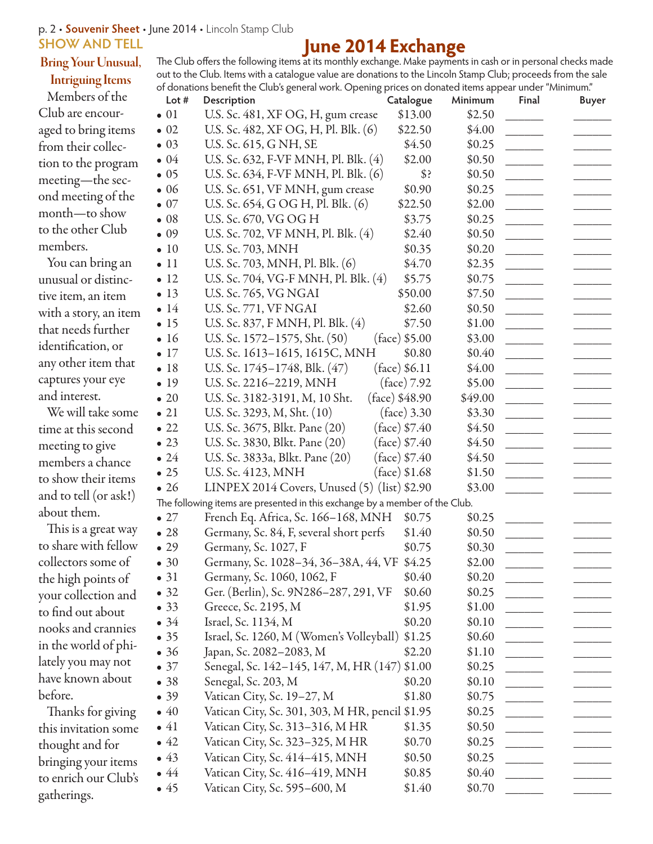#### p. 2 • **Souvenir Sheet** • June 2014 • Lincoln Stamp Club **SHOW AND TELL**

#### Bring Your Unusual,

### Intriguing Items

#### Members of the Club are encouraged to bring items from their collection to the program meeting—the second meeting of the month—to show to the other Club members.

You can bring an unusual or distinctive item, an item with a story, an item that needs further identification, or any other item that captures your eye and interest.

We will take some time at this second meeting to give members a chance to show their items and to tell (or ask!) about them.

This is a great way to share with fellow collectors some of the high points of your collection and to find out about nooks and crannies in the world of philately you may not have known about before.

Thanks for giving this invitation some thought and for bringing your items to enrich our Club's gatherings.

#### **June 2014 Exchange** The Club offers the following items at its monthly exchange. Make payments in cash or in personal checks made out to the Club. Items with a catalogue value are donations to the Lincoln Stamp Club; proceeds from the sale of donations benefit the Club's general work. Opening prices on donated items appear under "Minimum."

| U.S. Sc. 481, XF OG, H, gum crease<br>\$13.00<br>\$2.50<br>U.S. Sc. 482, XF OG, H, Pl. Blk. (6)<br>\$22.50<br>\$4.00<br>\$4.50<br>U.S. Sc. 615, G NH, SE<br>\$0.25<br>U.S. Sc. 632, F-VF MNH, Pl. Blk. (4)<br>\$2.00<br>\$0.50<br>U.S. Sc. 634, F-VF MNH, Pl. Blk. (6)<br>\$?<br>\$0.50<br>U.S. Sc. 651, VF MNH, gum crease<br>\$0.90<br>\$0.25<br>U.S. Sc. 654, G OG H, Pl. Blk. (6)<br>\$2.00<br>\$22.50<br>U.S. Sc. 670, VG OG H<br>\$3.75<br>\$0.25<br>U.S. Sc. 702, VF MNH, Pl. Blk. (4)<br>\$2.40<br>\$0.50<br>U.S. Sc. 703, MNH<br>\$0.35<br>\$0.20<br>U.S. Sc. 703, MNH, Pl. Blk. (6)<br>\$4.70<br>\$2.35<br>U.S. Sc. 704, VG-F MNH, Pl. Blk. (4)<br>\$5.75<br>\$0.75<br><b>U.S. Sc. 765, VG NGAI</b><br>\$50.00<br>\$7.50<br><b>U.S. Sc. 771, VF NGAI</b><br>\$2.60<br>\$0.50<br>U.S. Sc. 837, F MNH, Pl. Blk. (4)<br>\$7.50<br>\$1.00<br>U.S. Sc. 1572-1575, Sht. (50)<br>$(face)$ \$5.00<br>\$3.00<br>U.S. Sc. 1613-1615, 1615C, MNH<br>\$0.80<br>\$0.40<br>$(face)$ \$6.11<br>U.S. Sc. $1745 - 1748$ , Blk. $(47)$<br>\$4.00<br>U.S. Sc. 2216-2219, MNH<br>(face) 7.92<br>\$5.00<br>(face) \$48.90<br>\$49.00<br>U.S. Sc. 3182-3191, M, 10 Sht.<br>U.S. Sc. 3293, M, Sht. (10)<br>$(face)$ 3.30<br>\$3.30<br>(face) \$7.40<br>U.S. Sc. 3675, Blkt. Pane (20)<br>\$4.50<br>U.S. Sc. 3830, Blkt. Pane (20)<br>(face) \$7.40<br>\$4.50<br>U.S. Sc. 3833a, Blkt. Pane (20)<br>(face) \$7.40<br>\$4.50<br>U.S. Sc. 4123, MNH<br>(face) \$1.68<br>\$1.50<br>$\overline{\phantom{a}}$<br>LINPEX 2014 Covers, Unused $(5)$ (list) \$2.90<br>\$3.00<br>The following items are presented in this exchange by a member of the Club.<br>French Eq. Africa, Sc. 166-168, MNH<br>\$0.75<br>\$0.25<br>Germany, Sc. 84, F, several short perfs<br>\$1.40<br>\$0.50<br>Germany, Sc. 1027, F<br>\$0.75<br>\$0.30<br>Germany, Sc. 1028-34, 36-38A, 44, VF \$4.25<br>\$2.00<br>Germany, Sc. 1060, 1062, F<br>\$0.40<br>\$0.20<br>Ger. (Berlin), Sc. 9N286-287, 291, VF<br>\$0.60<br>\$0.25<br>Greece, Sc. 2195, M<br>\$1.00<br>\$1.95<br>Israel, Sc. 1134, M<br>\$0.20<br>\$0.10<br>Israel, Sc. 1260, M (Women's Volleyball) \$1.25<br>\$0.60<br>Japan, Sc. 2082–2083, M<br>\$1.10<br>\$2.20<br>Senegal, Sc. 142–145, 147, M, HR (147) \$1.00<br>\$0.25<br>Senegal, Sc. 203, M<br>\$0.20<br>\$0.10<br>Vatican City, Sc. 19–27, M<br>\$1.80<br>\$0.75<br>Vatican City, Sc. 301, 303, M HR, pencil \$1.95<br>\$0.25<br>Vatican City, Sc. 313–316, M HR<br>\$1.35<br>\$0.50<br>Vatican City, Sc. 323–325, M HR<br>\$0.70<br>\$0.25<br>Vatican City, Sc. 414-415, MNH<br>\$0.50<br>\$0.25<br>Vatican City, Sc. 416–419, MNH<br>\$0.85<br>\$0.40<br>\$1.40<br>\$0.70 | Lot #        | Description                  | Catalogue | Minimum | Final | <b>Buyer</b> |  |
|----------------------------------------------------------------------------------------------------------------------------------------------------------------------------------------------------------------------------------------------------------------------------------------------------------------------------------------------------------------------------------------------------------------------------------------------------------------------------------------------------------------------------------------------------------------------------------------------------------------------------------------------------------------------------------------------------------------------------------------------------------------------------------------------------------------------------------------------------------------------------------------------------------------------------------------------------------------------------------------------------------------------------------------------------------------------------------------------------------------------------------------------------------------------------------------------------------------------------------------------------------------------------------------------------------------------------------------------------------------------------------------------------------------------------------------------------------------------------------------------------------------------------------------------------------------------------------------------------------------------------------------------------------------------------------------------------------------------------------------------------------------------------------------------------------------------------------------------------------------------------------------------------------------------------------------------------------------------------------------------------------------------------------------------------------------------------------------------------------------------------------------------------------------------------------------------------------------------------------------------------------------------------------------------------------------------------------------------------------------------------------------------------------------------------------------------------------------------------------------------------------------------------------------------------------------------------------------------------------------------------------------------------------|--------------|------------------------------|-----------|---------|-------|--------------|--|
|                                                                                                                                                                                                                                                                                                                                                                                                                                                                                                                                                                                                                                                                                                                                                                                                                                                                                                                                                                                                                                                                                                                                                                                                                                                                                                                                                                                                                                                                                                                                                                                                                                                                                                                                                                                                                                                                                                                                                                                                                                                                                                                                                                                                                                                                                                                                                                                                                                                                                                                                                                                                                                                          | $\bullet$ 01 |                              |           |         |       |              |  |
|                                                                                                                                                                                                                                                                                                                                                                                                                                                                                                                                                                                                                                                                                                                                                                                                                                                                                                                                                                                                                                                                                                                                                                                                                                                                                                                                                                                                                                                                                                                                                                                                                                                                                                                                                                                                                                                                                                                                                                                                                                                                                                                                                                                                                                                                                                                                                                                                                                                                                                                                                                                                                                                          | $\bullet$ 02 |                              |           |         |       |              |  |
|                                                                                                                                                                                                                                                                                                                                                                                                                                                                                                                                                                                                                                                                                                                                                                                                                                                                                                                                                                                                                                                                                                                                                                                                                                                                                                                                                                                                                                                                                                                                                                                                                                                                                                                                                                                                                                                                                                                                                                                                                                                                                                                                                                                                                                                                                                                                                                                                                                                                                                                                                                                                                                                          | $\bullet$ 03 |                              |           |         |       |              |  |
|                                                                                                                                                                                                                                                                                                                                                                                                                                                                                                                                                                                                                                                                                                                                                                                                                                                                                                                                                                                                                                                                                                                                                                                                                                                                                                                                                                                                                                                                                                                                                                                                                                                                                                                                                                                                                                                                                                                                                                                                                                                                                                                                                                                                                                                                                                                                                                                                                                                                                                                                                                                                                                                          | $\bullet$ 04 |                              |           |         |       |              |  |
|                                                                                                                                                                                                                                                                                                                                                                                                                                                                                                                                                                                                                                                                                                                                                                                                                                                                                                                                                                                                                                                                                                                                                                                                                                                                                                                                                                                                                                                                                                                                                                                                                                                                                                                                                                                                                                                                                                                                                                                                                                                                                                                                                                                                                                                                                                                                                                                                                                                                                                                                                                                                                                                          | $\bullet$ 05 |                              |           |         |       |              |  |
|                                                                                                                                                                                                                                                                                                                                                                                                                                                                                                                                                                                                                                                                                                                                                                                                                                                                                                                                                                                                                                                                                                                                                                                                                                                                                                                                                                                                                                                                                                                                                                                                                                                                                                                                                                                                                                                                                                                                                                                                                                                                                                                                                                                                                                                                                                                                                                                                                                                                                                                                                                                                                                                          | $\bullet$ 06 |                              |           |         |       |              |  |
|                                                                                                                                                                                                                                                                                                                                                                                                                                                                                                                                                                                                                                                                                                                                                                                                                                                                                                                                                                                                                                                                                                                                                                                                                                                                                                                                                                                                                                                                                                                                                                                                                                                                                                                                                                                                                                                                                                                                                                                                                                                                                                                                                                                                                                                                                                                                                                                                                                                                                                                                                                                                                                                          | $\bullet$ 07 |                              |           |         |       |              |  |
|                                                                                                                                                                                                                                                                                                                                                                                                                                                                                                                                                                                                                                                                                                                                                                                                                                                                                                                                                                                                                                                                                                                                                                                                                                                                                                                                                                                                                                                                                                                                                                                                                                                                                                                                                                                                                                                                                                                                                                                                                                                                                                                                                                                                                                                                                                                                                                                                                                                                                                                                                                                                                                                          | $\bullet$ 08 |                              |           |         |       |              |  |
|                                                                                                                                                                                                                                                                                                                                                                                                                                                                                                                                                                                                                                                                                                                                                                                                                                                                                                                                                                                                                                                                                                                                                                                                                                                                                                                                                                                                                                                                                                                                                                                                                                                                                                                                                                                                                                                                                                                                                                                                                                                                                                                                                                                                                                                                                                                                                                                                                                                                                                                                                                                                                                                          | $\bullet$ 09 |                              |           |         |       |              |  |
|                                                                                                                                                                                                                                                                                                                                                                                                                                                                                                                                                                                                                                                                                                                                                                                                                                                                                                                                                                                                                                                                                                                                                                                                                                                                                                                                                                                                                                                                                                                                                                                                                                                                                                                                                                                                                                                                                                                                                                                                                                                                                                                                                                                                                                                                                                                                                                                                                                                                                                                                                                                                                                                          | $\bullet$ 10 |                              |           |         |       |              |  |
|                                                                                                                                                                                                                                                                                                                                                                                                                                                                                                                                                                                                                                                                                                                                                                                                                                                                                                                                                                                                                                                                                                                                                                                                                                                                                                                                                                                                                                                                                                                                                                                                                                                                                                                                                                                                                                                                                                                                                                                                                                                                                                                                                                                                                                                                                                                                                                                                                                                                                                                                                                                                                                                          | $\bullet$ 11 |                              |           |         |       |              |  |
|                                                                                                                                                                                                                                                                                                                                                                                                                                                                                                                                                                                                                                                                                                                                                                                                                                                                                                                                                                                                                                                                                                                                                                                                                                                                                                                                                                                                                                                                                                                                                                                                                                                                                                                                                                                                                                                                                                                                                                                                                                                                                                                                                                                                                                                                                                                                                                                                                                                                                                                                                                                                                                                          | $\bullet$ 12 |                              |           |         |       |              |  |
|                                                                                                                                                                                                                                                                                                                                                                                                                                                                                                                                                                                                                                                                                                                                                                                                                                                                                                                                                                                                                                                                                                                                                                                                                                                                                                                                                                                                                                                                                                                                                                                                                                                                                                                                                                                                                                                                                                                                                                                                                                                                                                                                                                                                                                                                                                                                                                                                                                                                                                                                                                                                                                                          | $\bullet$ 13 |                              |           |         |       |              |  |
|                                                                                                                                                                                                                                                                                                                                                                                                                                                                                                                                                                                                                                                                                                                                                                                                                                                                                                                                                                                                                                                                                                                                                                                                                                                                                                                                                                                                                                                                                                                                                                                                                                                                                                                                                                                                                                                                                                                                                                                                                                                                                                                                                                                                                                                                                                                                                                                                                                                                                                                                                                                                                                                          | $\bullet$ 14 |                              |           |         |       |              |  |
|                                                                                                                                                                                                                                                                                                                                                                                                                                                                                                                                                                                                                                                                                                                                                                                                                                                                                                                                                                                                                                                                                                                                                                                                                                                                                                                                                                                                                                                                                                                                                                                                                                                                                                                                                                                                                                                                                                                                                                                                                                                                                                                                                                                                                                                                                                                                                                                                                                                                                                                                                                                                                                                          | $\bullet$ 15 |                              |           |         |       |              |  |
|                                                                                                                                                                                                                                                                                                                                                                                                                                                                                                                                                                                                                                                                                                                                                                                                                                                                                                                                                                                                                                                                                                                                                                                                                                                                                                                                                                                                                                                                                                                                                                                                                                                                                                                                                                                                                                                                                                                                                                                                                                                                                                                                                                                                                                                                                                                                                                                                                                                                                                                                                                                                                                                          | $\bullet$ 16 |                              |           |         |       |              |  |
|                                                                                                                                                                                                                                                                                                                                                                                                                                                                                                                                                                                                                                                                                                                                                                                                                                                                                                                                                                                                                                                                                                                                                                                                                                                                                                                                                                                                                                                                                                                                                                                                                                                                                                                                                                                                                                                                                                                                                                                                                                                                                                                                                                                                                                                                                                                                                                                                                                                                                                                                                                                                                                                          | $\bullet$ 17 |                              |           |         |       |              |  |
|                                                                                                                                                                                                                                                                                                                                                                                                                                                                                                                                                                                                                                                                                                                                                                                                                                                                                                                                                                                                                                                                                                                                                                                                                                                                                                                                                                                                                                                                                                                                                                                                                                                                                                                                                                                                                                                                                                                                                                                                                                                                                                                                                                                                                                                                                                                                                                                                                                                                                                                                                                                                                                                          | $\bullet$ 18 |                              |           |         |       |              |  |
|                                                                                                                                                                                                                                                                                                                                                                                                                                                                                                                                                                                                                                                                                                                                                                                                                                                                                                                                                                                                                                                                                                                                                                                                                                                                                                                                                                                                                                                                                                                                                                                                                                                                                                                                                                                                                                                                                                                                                                                                                                                                                                                                                                                                                                                                                                                                                                                                                                                                                                                                                                                                                                                          | $\bullet$ 19 |                              |           |         |       |              |  |
|                                                                                                                                                                                                                                                                                                                                                                                                                                                                                                                                                                                                                                                                                                                                                                                                                                                                                                                                                                                                                                                                                                                                                                                                                                                                                                                                                                                                                                                                                                                                                                                                                                                                                                                                                                                                                                                                                                                                                                                                                                                                                                                                                                                                                                                                                                                                                                                                                                                                                                                                                                                                                                                          | $\bullet$ 20 |                              |           |         |       |              |  |
|                                                                                                                                                                                                                                                                                                                                                                                                                                                                                                                                                                                                                                                                                                                                                                                                                                                                                                                                                                                                                                                                                                                                                                                                                                                                                                                                                                                                                                                                                                                                                                                                                                                                                                                                                                                                                                                                                                                                                                                                                                                                                                                                                                                                                                                                                                                                                                                                                                                                                                                                                                                                                                                          | $\bullet$ 21 |                              |           |         |       |              |  |
|                                                                                                                                                                                                                                                                                                                                                                                                                                                                                                                                                                                                                                                                                                                                                                                                                                                                                                                                                                                                                                                                                                                                                                                                                                                                                                                                                                                                                                                                                                                                                                                                                                                                                                                                                                                                                                                                                                                                                                                                                                                                                                                                                                                                                                                                                                                                                                                                                                                                                                                                                                                                                                                          | $\bullet$ 22 |                              |           |         |       |              |  |
|                                                                                                                                                                                                                                                                                                                                                                                                                                                                                                                                                                                                                                                                                                                                                                                                                                                                                                                                                                                                                                                                                                                                                                                                                                                                                                                                                                                                                                                                                                                                                                                                                                                                                                                                                                                                                                                                                                                                                                                                                                                                                                                                                                                                                                                                                                                                                                                                                                                                                                                                                                                                                                                          | $\bullet$ 23 |                              |           |         |       |              |  |
|                                                                                                                                                                                                                                                                                                                                                                                                                                                                                                                                                                                                                                                                                                                                                                                                                                                                                                                                                                                                                                                                                                                                                                                                                                                                                                                                                                                                                                                                                                                                                                                                                                                                                                                                                                                                                                                                                                                                                                                                                                                                                                                                                                                                                                                                                                                                                                                                                                                                                                                                                                                                                                                          | $\bullet$ 24 |                              |           |         |       |              |  |
|                                                                                                                                                                                                                                                                                                                                                                                                                                                                                                                                                                                                                                                                                                                                                                                                                                                                                                                                                                                                                                                                                                                                                                                                                                                                                                                                                                                                                                                                                                                                                                                                                                                                                                                                                                                                                                                                                                                                                                                                                                                                                                                                                                                                                                                                                                                                                                                                                                                                                                                                                                                                                                                          | $\bullet$ 25 |                              |           |         |       |              |  |
|                                                                                                                                                                                                                                                                                                                                                                                                                                                                                                                                                                                                                                                                                                                                                                                                                                                                                                                                                                                                                                                                                                                                                                                                                                                                                                                                                                                                                                                                                                                                                                                                                                                                                                                                                                                                                                                                                                                                                                                                                                                                                                                                                                                                                                                                                                                                                                                                                                                                                                                                                                                                                                                          | $\bullet$ 26 |                              |           |         |       |              |  |
|                                                                                                                                                                                                                                                                                                                                                                                                                                                                                                                                                                                                                                                                                                                                                                                                                                                                                                                                                                                                                                                                                                                                                                                                                                                                                                                                                                                                                                                                                                                                                                                                                                                                                                                                                                                                                                                                                                                                                                                                                                                                                                                                                                                                                                                                                                                                                                                                                                                                                                                                                                                                                                                          |              |                              |           |         |       |              |  |
|                                                                                                                                                                                                                                                                                                                                                                                                                                                                                                                                                                                                                                                                                                                                                                                                                                                                                                                                                                                                                                                                                                                                                                                                                                                                                                                                                                                                                                                                                                                                                                                                                                                                                                                                                                                                                                                                                                                                                                                                                                                                                                                                                                                                                                                                                                                                                                                                                                                                                                                                                                                                                                                          | $\bullet$ 27 |                              |           |         |       |              |  |
|                                                                                                                                                                                                                                                                                                                                                                                                                                                                                                                                                                                                                                                                                                                                                                                                                                                                                                                                                                                                                                                                                                                                                                                                                                                                                                                                                                                                                                                                                                                                                                                                                                                                                                                                                                                                                                                                                                                                                                                                                                                                                                                                                                                                                                                                                                                                                                                                                                                                                                                                                                                                                                                          | $\bullet$ 28 |                              |           |         |       |              |  |
|                                                                                                                                                                                                                                                                                                                                                                                                                                                                                                                                                                                                                                                                                                                                                                                                                                                                                                                                                                                                                                                                                                                                                                                                                                                                                                                                                                                                                                                                                                                                                                                                                                                                                                                                                                                                                                                                                                                                                                                                                                                                                                                                                                                                                                                                                                                                                                                                                                                                                                                                                                                                                                                          | $\bullet$ 29 |                              |           |         |       |              |  |
|                                                                                                                                                                                                                                                                                                                                                                                                                                                                                                                                                                                                                                                                                                                                                                                                                                                                                                                                                                                                                                                                                                                                                                                                                                                                                                                                                                                                                                                                                                                                                                                                                                                                                                                                                                                                                                                                                                                                                                                                                                                                                                                                                                                                                                                                                                                                                                                                                                                                                                                                                                                                                                                          | $\bullet$ 30 |                              |           |         |       |              |  |
|                                                                                                                                                                                                                                                                                                                                                                                                                                                                                                                                                                                                                                                                                                                                                                                                                                                                                                                                                                                                                                                                                                                                                                                                                                                                                                                                                                                                                                                                                                                                                                                                                                                                                                                                                                                                                                                                                                                                                                                                                                                                                                                                                                                                                                                                                                                                                                                                                                                                                                                                                                                                                                                          | • 31         |                              |           |         |       |              |  |
|                                                                                                                                                                                                                                                                                                                                                                                                                                                                                                                                                                                                                                                                                                                                                                                                                                                                                                                                                                                                                                                                                                                                                                                                                                                                                                                                                                                                                                                                                                                                                                                                                                                                                                                                                                                                                                                                                                                                                                                                                                                                                                                                                                                                                                                                                                                                                                                                                                                                                                                                                                                                                                                          | • 32         |                              |           |         |       |              |  |
|                                                                                                                                                                                                                                                                                                                                                                                                                                                                                                                                                                                                                                                                                                                                                                                                                                                                                                                                                                                                                                                                                                                                                                                                                                                                                                                                                                                                                                                                                                                                                                                                                                                                                                                                                                                                                                                                                                                                                                                                                                                                                                                                                                                                                                                                                                                                                                                                                                                                                                                                                                                                                                                          | • 33         |                              |           |         |       |              |  |
|                                                                                                                                                                                                                                                                                                                                                                                                                                                                                                                                                                                                                                                                                                                                                                                                                                                                                                                                                                                                                                                                                                                                                                                                                                                                                                                                                                                                                                                                                                                                                                                                                                                                                                                                                                                                                                                                                                                                                                                                                                                                                                                                                                                                                                                                                                                                                                                                                                                                                                                                                                                                                                                          | $\bullet$ 34 |                              |           |         |       |              |  |
|                                                                                                                                                                                                                                                                                                                                                                                                                                                                                                                                                                                                                                                                                                                                                                                                                                                                                                                                                                                                                                                                                                                                                                                                                                                                                                                                                                                                                                                                                                                                                                                                                                                                                                                                                                                                                                                                                                                                                                                                                                                                                                                                                                                                                                                                                                                                                                                                                                                                                                                                                                                                                                                          | • 35         |                              |           |         |       |              |  |
|                                                                                                                                                                                                                                                                                                                                                                                                                                                                                                                                                                                                                                                                                                                                                                                                                                                                                                                                                                                                                                                                                                                                                                                                                                                                                                                                                                                                                                                                                                                                                                                                                                                                                                                                                                                                                                                                                                                                                                                                                                                                                                                                                                                                                                                                                                                                                                                                                                                                                                                                                                                                                                                          | $\bullet$ 36 |                              |           |         |       |              |  |
|                                                                                                                                                                                                                                                                                                                                                                                                                                                                                                                                                                                                                                                                                                                                                                                                                                                                                                                                                                                                                                                                                                                                                                                                                                                                                                                                                                                                                                                                                                                                                                                                                                                                                                                                                                                                                                                                                                                                                                                                                                                                                                                                                                                                                                                                                                                                                                                                                                                                                                                                                                                                                                                          | $\bullet$ 37 |                              |           |         |       |              |  |
|                                                                                                                                                                                                                                                                                                                                                                                                                                                                                                                                                                                                                                                                                                                                                                                                                                                                                                                                                                                                                                                                                                                                                                                                                                                                                                                                                                                                                                                                                                                                                                                                                                                                                                                                                                                                                                                                                                                                                                                                                                                                                                                                                                                                                                                                                                                                                                                                                                                                                                                                                                                                                                                          | •38          |                              |           |         |       |              |  |
|                                                                                                                                                                                                                                                                                                                                                                                                                                                                                                                                                                                                                                                                                                                                                                                                                                                                                                                                                                                                                                                                                                                                                                                                                                                                                                                                                                                                                                                                                                                                                                                                                                                                                                                                                                                                                                                                                                                                                                                                                                                                                                                                                                                                                                                                                                                                                                                                                                                                                                                                                                                                                                                          | • 39         |                              |           |         |       |              |  |
|                                                                                                                                                                                                                                                                                                                                                                                                                                                                                                                                                                                                                                                                                                                                                                                                                                                                                                                                                                                                                                                                                                                                                                                                                                                                                                                                                                                                                                                                                                                                                                                                                                                                                                                                                                                                                                                                                                                                                                                                                                                                                                                                                                                                                                                                                                                                                                                                                                                                                                                                                                                                                                                          | $\bullet$ 40 |                              |           |         |       |              |  |
|                                                                                                                                                                                                                                                                                                                                                                                                                                                                                                                                                                                                                                                                                                                                                                                                                                                                                                                                                                                                                                                                                                                                                                                                                                                                                                                                                                                                                                                                                                                                                                                                                                                                                                                                                                                                                                                                                                                                                                                                                                                                                                                                                                                                                                                                                                                                                                                                                                                                                                                                                                                                                                                          | $\bullet$ 41 |                              |           |         |       |              |  |
|                                                                                                                                                                                                                                                                                                                                                                                                                                                                                                                                                                                                                                                                                                                                                                                                                                                                                                                                                                                                                                                                                                                                                                                                                                                                                                                                                                                                                                                                                                                                                                                                                                                                                                                                                                                                                                                                                                                                                                                                                                                                                                                                                                                                                                                                                                                                                                                                                                                                                                                                                                                                                                                          | $\bullet$ 42 |                              |           |         |       |              |  |
|                                                                                                                                                                                                                                                                                                                                                                                                                                                                                                                                                                                                                                                                                                                                                                                                                                                                                                                                                                                                                                                                                                                                                                                                                                                                                                                                                                                                                                                                                                                                                                                                                                                                                                                                                                                                                                                                                                                                                                                                                                                                                                                                                                                                                                                                                                                                                                                                                                                                                                                                                                                                                                                          | $\bullet$ 43 |                              |           |         |       |              |  |
|                                                                                                                                                                                                                                                                                                                                                                                                                                                                                                                                                                                                                                                                                                                                                                                                                                                                                                                                                                                                                                                                                                                                                                                                                                                                                                                                                                                                                                                                                                                                                                                                                                                                                                                                                                                                                                                                                                                                                                                                                                                                                                                                                                                                                                                                                                                                                                                                                                                                                                                                                                                                                                                          | $\bullet$ 44 |                              |           |         |       |              |  |
|                                                                                                                                                                                                                                                                                                                                                                                                                                                                                                                                                                                                                                                                                                                                                                                                                                                                                                                                                                                                                                                                                                                                                                                                                                                                                                                                                                                                                                                                                                                                                                                                                                                                                                                                                                                                                                                                                                                                                                                                                                                                                                                                                                                                                                                                                                                                                                                                                                                                                                                                                                                                                                                          | $\bullet$ 45 | Vatican City, Sc. 595-600, M |           |         |       |              |  |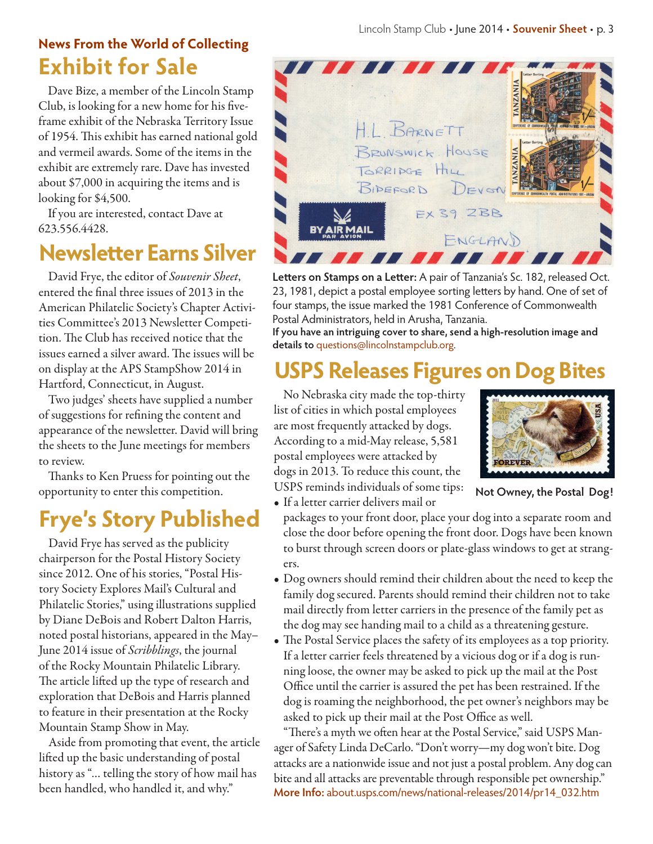## **Exhibit for Sale News From the World of Collecting**

Dave Bize, a member of the Lincoln Stamp Club, is looking for a new home for his fiveframe exhibit of the Nebraska Territory Issue of 1954. This exhibit has earned national gold and vermeil awards. Some of the items in the exhibit are extremely rare. Dave has invested about \$7,000 in acquiring the items and is looking for \$4,500.

If you are interested, contact Dave at 623.556.4428.

# **Newsletter Earns Silver**

David Frye, the editor of *Souvenir Sheet*, entered the final three issues of 2013 in the American Philatelic Society's Chapter Activities Committee's 2013 Newsletter Competition. The Club has received notice that the issues earned a silver award. The issues will be on display at the APS StampShow 2014 in Hartford, Connecticut, in August.

Two judges' sheets have supplied a number of suggestions for refining the content and appearance of the newsletter. David will bring the sheets to the June meetings for members to review.

Thanks to Ken Pruess for pointing out the opportunity to enter this competition.

# **Frye's Story Published**

David Frye has served as the publicity chairperson for the Postal History Society since 2012. One of his stories, "Postal History Society Explores Mail's Cultural and Philatelic Stories," using illustrations supplied by Diane DeBois and Robert Dalton Harris, noted postal historians, appeared in the May– June 2014 issue of *Scribblings*, the journal of the Rocky Mountain Philatelic Library. The article lifted up the type of research and exploration that DeBois and Harris planned to feature in their presentation at the Rocky Mountain Stamp Show in May.

Aside from promoting that event, the article lifted up the basic understanding of postal history as "… telling the story of how mail has been handled, who handled it, and why."



**Letters on Stamps on a Letter:** A pair of Tanzania's Sc. 182, released Oct. 23, 1981, depict a postal employee sorting letters by hand. One of set of four stamps, the issue marked the 1981 Conference of Commonwealth Postal Administrators, held in Arusha, Tanzania.

**If you have an intriguing cover to share, send a high-resolution image and details to** questions@lincolnstampclub.org.

# **USPS Releases Figures on Dog Bites**

No Nebraska city made the top-thirty list of cities in which postal employees are most frequently attacked by dogs. According to a mid-May release, 5,581 postal employees were attacked by dogs in 2013. To reduce this count, the USPS reminds individuals of some tips:



**Not Owney, the Postal Dog!**

• If a letter carrier delivers mail or

packages to your front door, place your dog into a separate room and close the door before opening the front door. Dogs have been known to burst through screen doors or plate-glass windows to get at strangers.

- Dog owners should remind their children about the need to keep the family dog secured. Parents should remind their children not to take mail directly from letter carriers in the presence of the family pet as the dog may see handing mail to a child as a threatening gesture.
- The Postal Service places the safety of its employees as a top priority. If a letter carrier feels threatened by a vicious dog or if a dog is running loose, the owner may be asked to pick up the mail at the Post Office until the carrier is assured the pet has been restrained. If the dog is roaming the neighborhood, the pet owner's neighbors may be asked to pick up their mail at the Post Office as well.

"There's a myth we often hear at the Postal Service," said USPS Manager of Safety Linda DeCarlo. "Don't worry—my dog won't bite. Dog attacks are a nationwide issue and not just a postal problem. Any dog can bite and all attacks are preventable through responsible pet ownership." **More Info:** about.usps.com/news/national-releases/2014/pr14\_032.htm